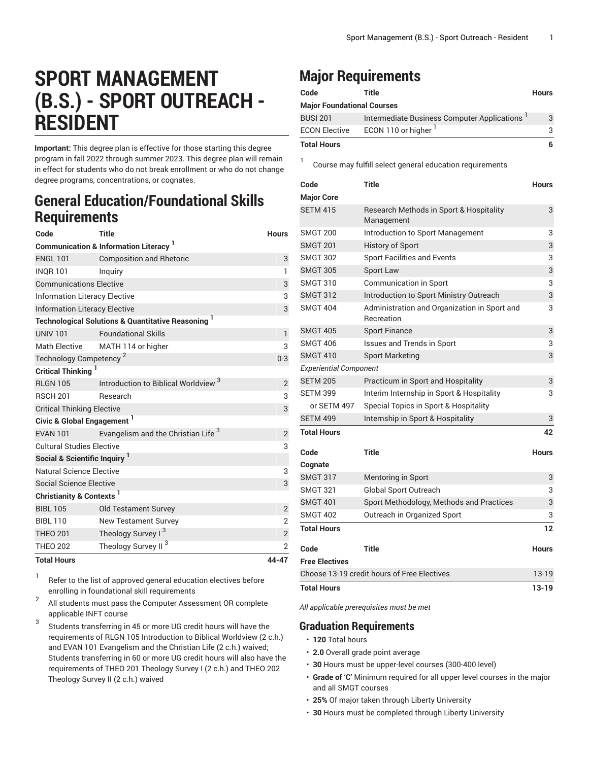# **SPORT MANAGEMENT (B.S.) - SPORT OUTREACH - RESIDENT**

**Important:** This degree plan is effective for those starting this degree program in fall 2022 through summer 2023. This degree plan will remain in effect for students who do not break enrollment or who do not change degree programs, concentrations, or cognates.

### **General Education/Foundational Skills Requirements**

| Code                                                          | <b>Title</b>                                    | <b>Hours</b>   |  |  |
|---------------------------------------------------------------|-------------------------------------------------|----------------|--|--|
| <b>Communication &amp; Information Literacy</b>               |                                                 |                |  |  |
| <b>ENGL 101</b>                                               | <b>Composition and Rhetoric</b>                 | 3              |  |  |
| <b>INQR101</b>                                                | Inquiry                                         | $\mathbf{1}$   |  |  |
| <b>Communications Elective</b>                                | 3                                               |                |  |  |
| <b>Information Literacy Elective</b>                          | 3                                               |                |  |  |
| <b>Information Literacy Elective</b>                          | 3                                               |                |  |  |
| <b>Technological Solutions &amp; Quantitative Reasoning 1</b> |                                                 |                |  |  |
| <b>UNIV 101</b>                                               | <b>Foundational Skills</b>                      | 1              |  |  |
| <b>Math Elective</b>                                          | MATH 114 or higher                              | 3              |  |  |
| Technology Competency <sup>2</sup>                            | $0 - 3$                                         |                |  |  |
| Critical Thinking                                             |                                                 |                |  |  |
| <b>RI GN 105</b>                                              | Introduction to Biblical Worldview <sup>3</sup> | 2              |  |  |
| <b>RSCH 201</b>                                               | Research                                        | 3              |  |  |
| <b>Critical Thinking Elective</b>                             | 3                                               |                |  |  |
| Civic & Global Engagement <sup>1</sup>                        |                                                 |                |  |  |
| <b>EVAN 101</b>                                               | Evangelism and the Christian Life <sup>3</sup>  | $\sqrt{2}$     |  |  |
| <b>Cultural Studies Elective</b>                              |                                                 |                |  |  |
| Social & Scientific Inquiry <sup>1</sup>                      |                                                 |                |  |  |
| <b>Natural Science Elective</b>                               |                                                 |                |  |  |
| Social Science Elective                                       |                                                 | 3              |  |  |
| Christianity & Contexts <sup>1</sup>                          |                                                 |                |  |  |
| <b>BIBL 105</b>                                               | <b>Old Testament Survey</b>                     | $\overline{2}$ |  |  |
| <b>BIBL 110</b>                                               | <b>New Testament Survey</b>                     | $\overline{2}$ |  |  |
| <b>THEO 201</b>                                               | Theology Survey I <sup>3</sup>                  | $\overline{2}$ |  |  |
| <b>THEO 202</b>                                               | Theology Survey II <sup>3</sup>                 | $\overline{2}$ |  |  |
| <b>Total Hours</b>                                            |                                                 | 44-47          |  |  |

1 Refer to the list of approved general [education](https://www.liberty.edu/gened/) electives before enrolling in foundational skill requirements

2 All students must pass the [Computer Assessment](https://www.liberty.edu/computerassessment/) OR complete applicable INFT course

3 Students transferring in 45 or more UG credit hours will have the requirements of RLGN 105 Introduction to Biblical Worldview (2 c.h.) and EVAN 101 Evangelism and the Christian Life (2 c.h.) waived; Students transferring in 60 or more UG credit hours will also have the requirements of THEO 201 Theology Survey I (2 c.h.) and THEO 202 Theology Survey II (2 c.h.) waived

## **Major Requirements**

1

| Code                              | Title                                       | <b>Hours</b> |
|-----------------------------------|---------------------------------------------|--------------|
| <b>Major Foundational Courses</b> |                                             |              |
| <b>BUSI 201</b>                   | Intermediate Business Computer Applications | 3            |
| <b>ECON Elective</b>              | ECON 110 or higher <sup>1</sup>             | 3            |
| <b>Total Hours</b>                |                                             | 6            |

Course may fulfill select general education [requirements](http://www.liberty.edu/academics/generalstudies/?PID=37563)

| Code                          | <b>Title</b>                                               | <b>Hours</b> |
|-------------------------------|------------------------------------------------------------|--------------|
| <b>Major Core</b>             |                                                            |              |
| <b>SETM 415</b>               | Research Methods in Sport & Hospitality<br>Management      | 3            |
| <b>SMGT 200</b>               | Introduction to Sport Management                           | 3            |
| <b>SMGT 201</b>               | <b>History of Sport</b>                                    | 3            |
| <b>SMGT 302</b>               | <b>Sport Facilities and Events</b>                         | 3            |
| <b>SMGT 305</b>               | Sport Law                                                  | 3            |
| <b>SMGT 310</b>               | <b>Communication in Sport</b>                              | 3            |
| <b>SMGT 312</b>               | Introduction to Sport Ministry Outreach                    | 3            |
| <b>SMGT 404</b>               | Administration and Organization in Sport and<br>Recreation | 3            |
| <b>SMGT 405</b>               | <b>Sport Finance</b>                                       | 3            |
| <b>SMGT 406</b>               | <b>Issues and Trends in Sport</b>                          | 3            |
| <b>SMGT 410</b>               | <b>Sport Marketing</b>                                     | 3            |
| <b>Experiential Component</b> |                                                            |              |
| <b>SETM 205</b>               | Practicum in Sport and Hospitality                         | 3            |
| <b>SETM 399</b>               | Interim Internship in Sport & Hospitality                  | 3            |
| or SETM 497                   | Special Topics in Sport & Hospitality                      |              |
| <b>SETM 499</b>               | Internship in Sport & Hospitality                          | 3            |
| <b>Total Hours</b>            |                                                            | 42           |
| Code                          | <b>Title</b>                                               | <b>Hours</b> |
| Cognate                       |                                                            |              |
| <b>SMGT 317</b>               | Mentoring in Sport                                         | 3            |
| <b>SMGT 321</b>               | Global Sport Outreach                                      | 3            |
| <b>SMGT 401</b>               | Sport Methodology, Methods and Practices                   | 3            |
| <b>SMGT 402</b>               | Outreach in Organized Sport                                | 3            |
| <b>Total Hours</b>            |                                                            | 12           |
| Code                          | <b>Title</b>                                               | <b>Hours</b> |
| <b>Free Electives</b>         |                                                            |              |
|                               | Choose 13-19 credit hours of Free Electives                | $13-19$      |
| <b>Total Hours</b>            |                                                            | 13-19        |

*All applicable prerequisites must be met*

### **Graduation Requirements**

- **120** Total hours
- **2.0** Overall grade point average
- **30** Hours must be upper-level courses (300-400 level)
- **Grade of 'C'** Minimum required for all upper level courses in the major and all SMGT courses
- **25%** Of major taken through Liberty University
- **30** Hours must be completed through Liberty University